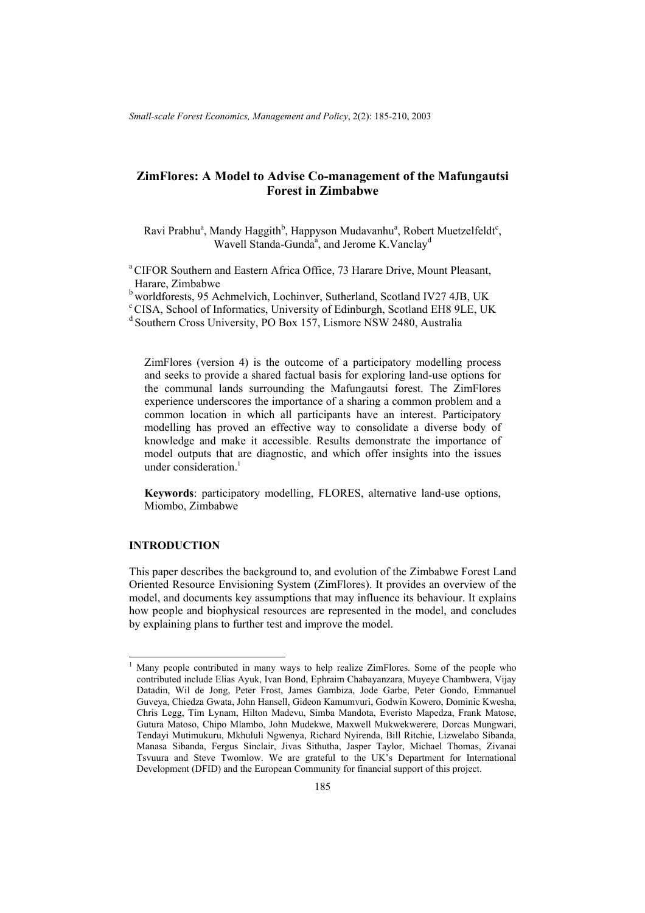# **ZimFlores: A Model to Advise Co-management of the Mafungautsi Forest in Zimbabwe**

Ravi Prabhu<sup>a</sup>, Mandy Haggith<sup>b</sup>, Happyson Mudavanhu<sup>a</sup>, Robert Muetzelfeldt<sup>c</sup>, Wavell Standa-Gunda<sup>a</sup>, and Jerome K.Vanclay<sup>d</sup>

<sup>a</sup> CIFOR Southern and Eastern Africa Office, 73 Harare Drive, Mount Pleasant, Harare, Zimbabwe

b worldforests, 95 Achmelvich, Lochinver, Sutherland, Scotland IV27 4JB, UK

<sup>c</sup> CISA, School of Informatics, University of Edinburgh, Scotland EH8 9LE, UK

d Southern Cross University, PO Box 157, Lismore NSW 2480, Australia

ZimFlores (version 4) is the outcome of a participatory modelling process and seeks to provide a shared factual basis for exploring land-use options for the communal lands surrounding the Mafungautsi forest. The ZimFlores experience underscores the importance of a sharing a common problem and a common location in which all participants have an interest. Participatory modelling has proved an effective way to consolidate a diverse body of knowledge and make it accessible. Results demonstrate the importance of model outputs that are diagnostic, and which offer insights into the issues under consideration. $<sup>1</sup>$ </sup>

**Keywords**: participatory modelling, FLORES, alternative land-use options, Miombo, Zimbabwe

## **INTRODUCTION**

 $\overline{a}$ 

This paper describes the background to, and evolution of the Zimbabwe Forest Land Oriented Resource Envisioning System (ZimFlores). It provides an overview of the model, and documents key assumptions that may influence its behaviour. It explains how people and biophysical resources are represented in the model, and concludes by explaining plans to further test and improve the model.

<span id="page-0-0"></span><sup>1</sup> Many people contributed in many ways to help realize ZimFlores. Some of the people who contributed include Elias Ayuk, Ivan Bond, Ephraim Chabayanzara, Muyeye Chambwera, Vijay Datadin, Wil de Jong, Peter Frost, James Gambiza, Jode Garbe, Peter Gondo, Emmanuel Guveya, Chiedza Gwata, John Hansell, Gideon Kamumvuri, Godwin Kowero, Dominic Kwesha, Chris Legg, Tim Lynam, Hilton Madevu, Simba Mandota, Everisto Mapedza, Frank Matose, Gutura Matoso, Chipo Mlambo, John Mudekwe, Maxwell Mukwekwerere, Dorcas Mungwari, Tendayi Mutimukuru, Mkhululi Ngwenya, Richard Nyirenda, Bill Ritchie, Lizwelabo Sibanda, Manasa Sibanda, Fergus Sinclair, Jivas Sithutha, Jasper Taylor, Michael Thomas, Zivanai Tsvuura and Steve Twomlow. We are grateful to the UK's Department for International Development (DFID) and the European Community for financial support of this project.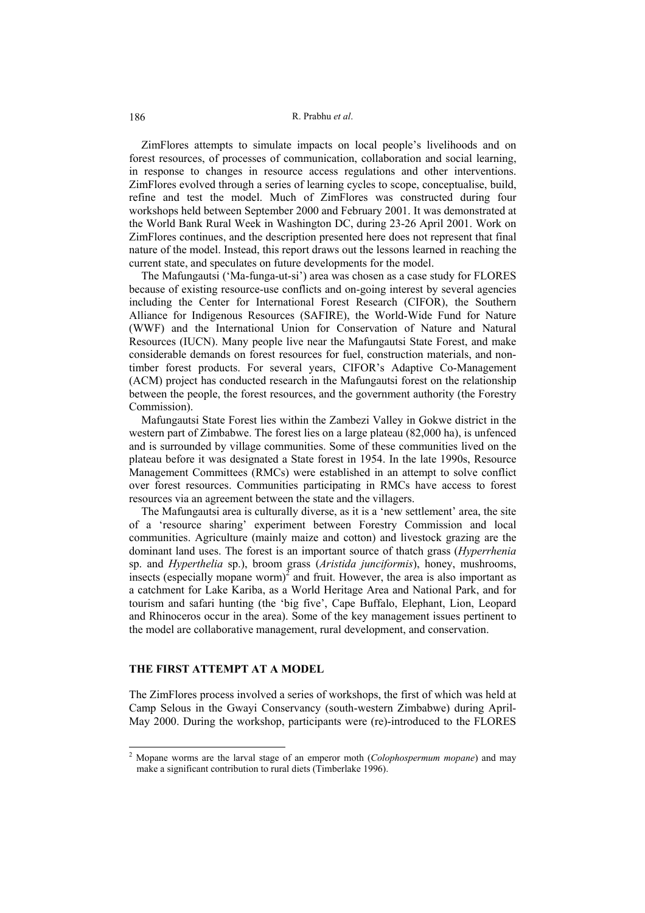ZimFlores attempts to simulate impacts on local people's livelihoods and on forest resources, of processes of communication, collaboration and social learning, in response to changes in resource access regulations and other interventions. ZimFlores evolved through a series of learning cycles to scope, conceptualise, build, refine and test the model. Much of ZimFlores was constructed during four workshops held between September 2000 and February 2001. It was demonstrated at the World Bank Rural Week in Washington DC, during 23-26 April 2001. Work on ZimFlores continues, and the description presented here does not represent that final nature of the model. Instead, this report draws out the lessons learned in reaching the current state, and speculates on future developments for the model.

The Mafungautsi ('Ma-funga-ut-si') area was chosen as a case study for FLORES because of existing resource-use conflicts and on-going interest by several agencies including the Center for International Forest Research (CIFOR), the Southern Alliance for Indigenous Resources (SAFIRE), the World-Wide Fund for Nature (WWF) and the International Union for Conservation of Nature and Natural Resources (IUCN). Many people live near the Mafungautsi State Forest, and make considerable demands on forest resources for fuel, construction materials, and nontimber forest products. For several years, CIFOR's Adaptive Co-Management (ACM) project has conducted research in the Mafungautsi forest on the relationship between the people, the forest resources, and the government authority (the Forestry Commission).

Mafungautsi State Forest lies within the Zambezi Valley in Gokwe district in the western part of Zimbabwe. The forest lies on a large plateau (82,000 ha), is unfenced and is surrounded by village communities. Some of these communities lived on the plateau before it was designated a State forest in 1954. In the late 1990s, Resource Management Committees (RMCs) were established in an attempt to solve conflict over forest resources. Communities participating in RMCs have access to forest resources via an agreement between the state and the villagers.

The Mafungautsi area is culturally diverse, as it is a 'new settlement' area, the site of a 'resource sharing' experiment between Forestry Commission and local communities. Agriculture (mainly maize and cotton) and livestock grazing are the dominant land uses. The forest is an important source of thatch grass (*Hyperrhenia* sp. and *Hyperthelia* sp.), broom grass (*Aristida junciformis*), honey, mushrooms, insects (especially mopane worm)<sup> $2$ </sup> and fruit. However, the area is also important as a catchment for Lake Kariba, as a World Heritage Area and National Park, and for tourism and safari hunting (the 'big five', Cape Buffalo, Elephant, Lion, Leopard and Rhinoceros occur in the area). Some of the key management issues pertinent to the model are collaborative management, rural development, and conservation.

## **THE FIRST ATTEMPT AT A MODEL**

The ZimFlores process involved a series of workshops, the first of which was held at Camp Selous in the Gwayi Conservancy (south-western Zimbabwe) during April-May 2000. During the workshop, participants were (re)-introduced to the FLORES

<span id="page-1-0"></span> 2 Mopane worms are the larval stage of an emperor moth (*Colophospermum mopane*) and may make a significant contribution to rural diets (Timberlake 1996).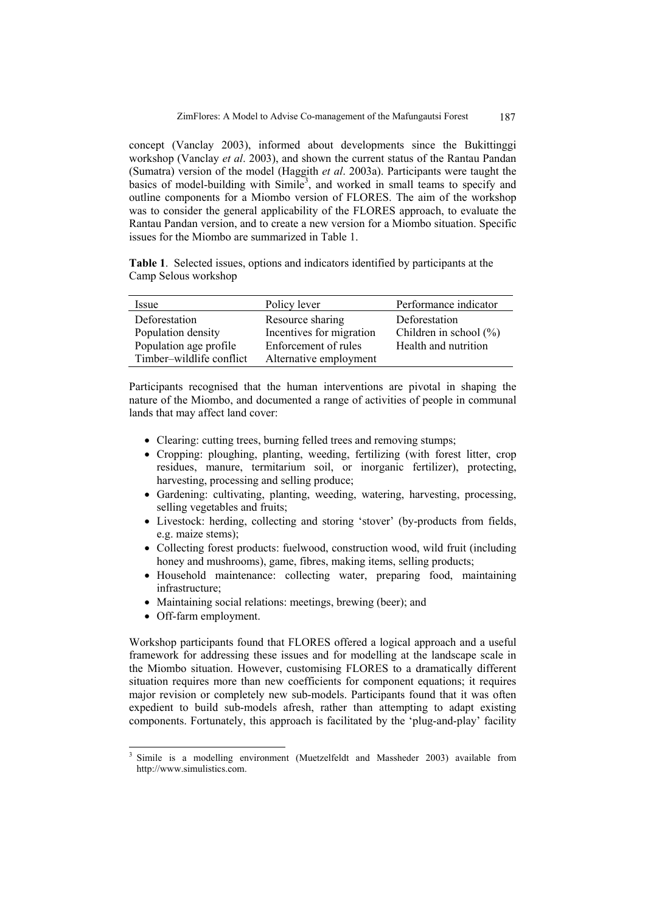concept (Vanclay 2003), informed about developments since the Bukittinggi workshop (Vanclay *et al*. 2003), and shown the current status of the Rantau Pandan (Sumatra) version of the model (Haggith *et al*. 2003a). Participants were taught the basics of model-building with  $Simile<sup>3</sup>$  $Simile<sup>3</sup>$  $Simile<sup>3</sup>$ , and worked in small teams to specify and outline components for a Miombo version of FLORES. The aim of the workshop was to consider the general applicability of the FLORES approach, to evaluate the Rantau Pandan version, and to create a new version for a Miombo situation. Specific issues for the Miombo are summarized in Table 1.

**Table 1**. Selected issues, options and indicators identified by participants at the Camp Selous workshop

| Issue                    | Policy lever             | Performance indicator      |
|--------------------------|--------------------------|----------------------------|
| Deforestation            | Resource sharing         | Deforestation              |
| Population density       | Incentives for migration | Children in school $(\% )$ |
| Population age profile   | Enforcement of rules     | Health and nutrition       |
| Timber-wildlife conflict | Alternative employment   |                            |

Participants recognised that the human interventions are pivotal in shaping the nature of the Miombo, and documented a range of activities of people in communal lands that may affect land cover:

- Clearing: cutting trees, burning felled trees and removing stumps;
- Cropping: ploughing, planting, weeding, fertilizing (with forest litter, crop residues, manure, termitarium soil, or inorganic fertilizer), protecting, harvesting, processing and selling produce;
- Gardening: cultivating, planting, weeding, watering, harvesting, processing, selling vegetables and fruits;
- Livestock: herding, collecting and storing 'stover' (by-products from fields, e.g. maize stems);
- Collecting forest products: fuelwood, construction wood, wild fruit (including honey and mushrooms), game, fibres, making items, selling products;
- Household maintenance: collecting water, preparing food, maintaining infrastructure;
- Maintaining social relations: meetings, brewing (beer); and
- Off-farm employment.

Workshop participants found that FLORES offered a logical approach and a useful framework for addressing these issues and for modelling at the landscape scale in the Miombo situation. However, customising FLORES to a dramatically different situation requires more than new coefficients for component equations; it requires major revision or completely new sub-models. Participants found that it was often expedient to build sub-models afresh, rather than attempting to adapt existing components. Fortunately, this approach is facilitated by the 'plug-and-play' facility

<span id="page-2-0"></span><sup>&</sup>lt;sup>3</sup> Simile is a modelling environment (Muetzelfeldt and Massheder 2003) available from http://www.simulistics.com.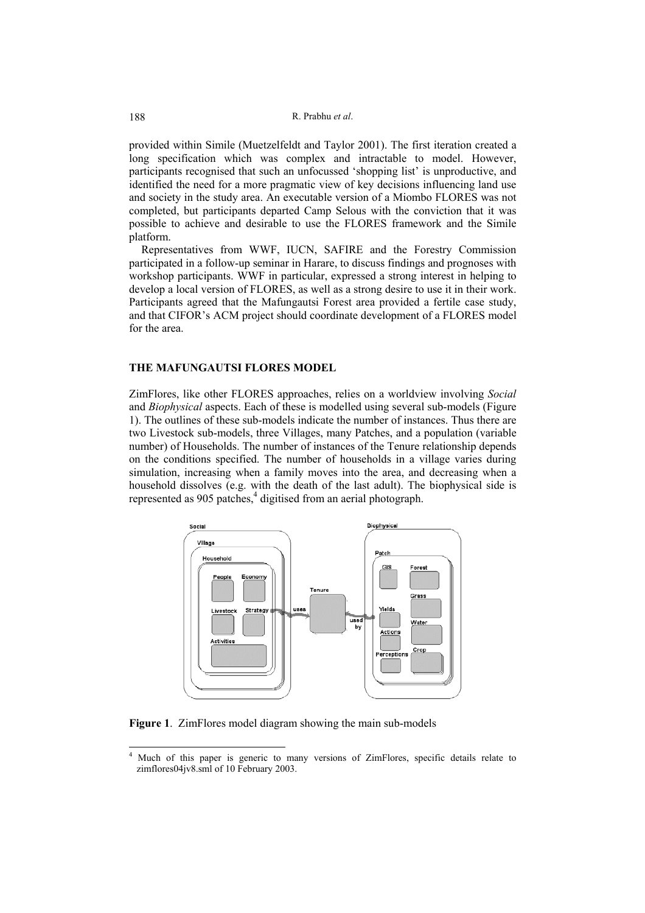provided within Simile (Muetzelfeldt and Taylor 2001). The first iteration created a long specification which was complex and intractable to model. However, participants recognised that such an unfocussed 'shopping list' is unproductive, and identified the need for a more pragmatic view of key decisions influencing land use and society in the study area. An executable version of a Miombo FLORES was not completed, but participants departed Camp Selous with the conviction that it was possible to achieve and desirable to use the FLORES framework and the Simile platform.

Representatives from WWF, IUCN, SAFIRE and the Forestry Commission participated in a follow-up seminar in Harare, to discuss findings and prognoses with workshop participants. WWF in particular, expressed a strong interest in helping to develop a local version of FLORES, as well as a strong desire to use it in their work. Participants agreed that the Mafungautsi Forest area provided a fertile case study, and that CIFOR's ACM project should coordinate development of a FLORES model for the area.

### **THE MAFUNGAUTSI FLORES MODEL**

ZimFlores, like other FLORES approaches, relies on a worldview involving *Social* and *Biophysical* aspects. Each of these is modelled using several sub-models (Figure 1). The outlines of these sub-models indicate the number of instances. Thus there are two Livestock sub-models, three Villages, many Patches, and a population (variable number) of Households. The number of instances of the Tenure relationship depends on the conditions specified. The number of households in a village varies during simulation, increasing when a family moves into the area, and decreasing when a household dissolves (e.g. with the death of the last adult). The biophysical side is represented as 905 patches,<sup>[4](#page-3-0)</sup> digitised from an aerial photograph.



**Figure 1**. ZimFlores model diagram showing the main sub-models

 $\overline{a}$ 

<span id="page-3-0"></span><sup>4</sup> Much of this paper is generic to many versions of ZimFlores, specific details relate to zimflores04jv8.sml of 10 February 2003.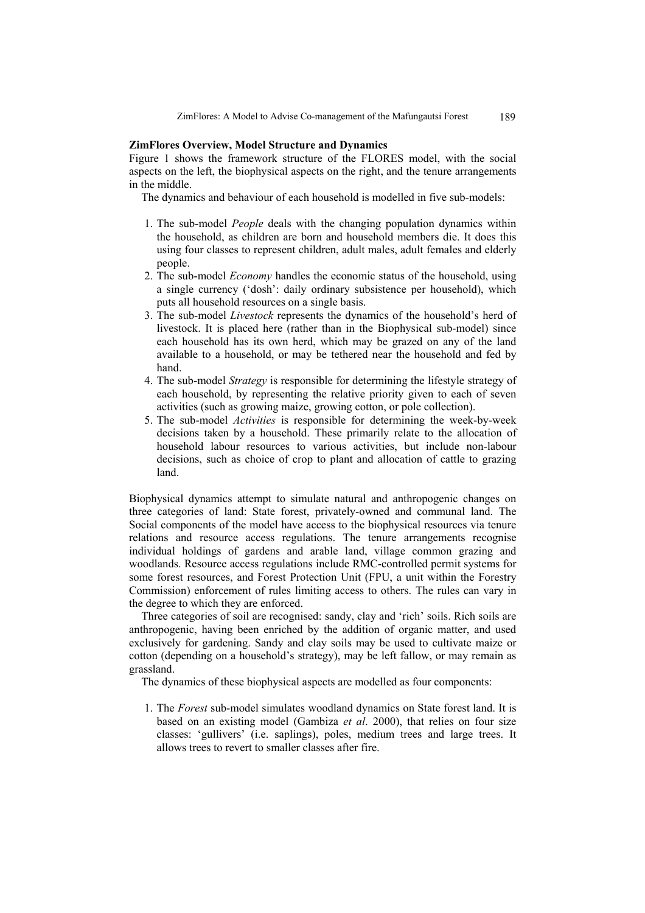#### **ZimFlores Overview, Model Structure and Dynamics**

Figure 1 shows the framework structure of the FLORES model, with the social aspects on the left, the biophysical aspects on the right, and the tenure arrangements in the middle.

The dynamics and behaviour of each household is modelled in five sub-models:

- 1. The sub-model *People* deals with the changing population dynamics within the household, as children are born and household members die. It does this using four classes to represent children, adult males, adult females and elderly people.
- 2. The sub-model *Economy* handles the economic status of the household, using a single currency ('dosh': daily ordinary subsistence per household), which puts all household resources on a single basis.
- 3. The sub-model *Livestock* represents the dynamics of the household's herd of livestock. It is placed here (rather than in the Biophysical sub-model) since each household has its own herd, which may be grazed on any of the land available to a household, or may be tethered near the household and fed by hand.
- 4. The sub-model *Strategy* is responsible for determining the lifestyle strategy of each household, by representing the relative priority given to each of seven activities (such as growing maize, growing cotton, or pole collection).
- 5. The sub-model *Activities* is responsible for determining the week-by-week decisions taken by a household. These primarily relate to the allocation of household labour resources to various activities, but include non-labour decisions, such as choice of crop to plant and allocation of cattle to grazing land.

Biophysical dynamics attempt to simulate natural and anthropogenic changes on three categories of land: State forest, privately-owned and communal land. The Social components of the model have access to the biophysical resources via tenure relations and resource access regulations. The tenure arrangements recognise individual holdings of gardens and arable land, village common grazing and woodlands. Resource access regulations include RMC-controlled permit systems for some forest resources, and Forest Protection Unit (FPU, a unit within the Forestry Commission) enforcement of rules limiting access to others. The rules can vary in the degree to which they are enforced.

Three categories of soil are recognised: sandy, clay and 'rich' soils. Rich soils are anthropogenic, having been enriched by the addition of organic matter, and used exclusively for gardening. Sandy and clay soils may be used to cultivate maize or cotton (depending on a household's strategy), may be left fallow, or may remain as grassland.

The dynamics of these biophysical aspects are modelled as four components:

1. The *Forest* sub-model simulates woodland dynamics on State forest land. It is based on an existing model (Gambiza *et al*. 2000), that relies on four size classes: 'gullivers' (i.e. saplings), poles, medium trees and large trees. It allows trees to revert to smaller classes after fire.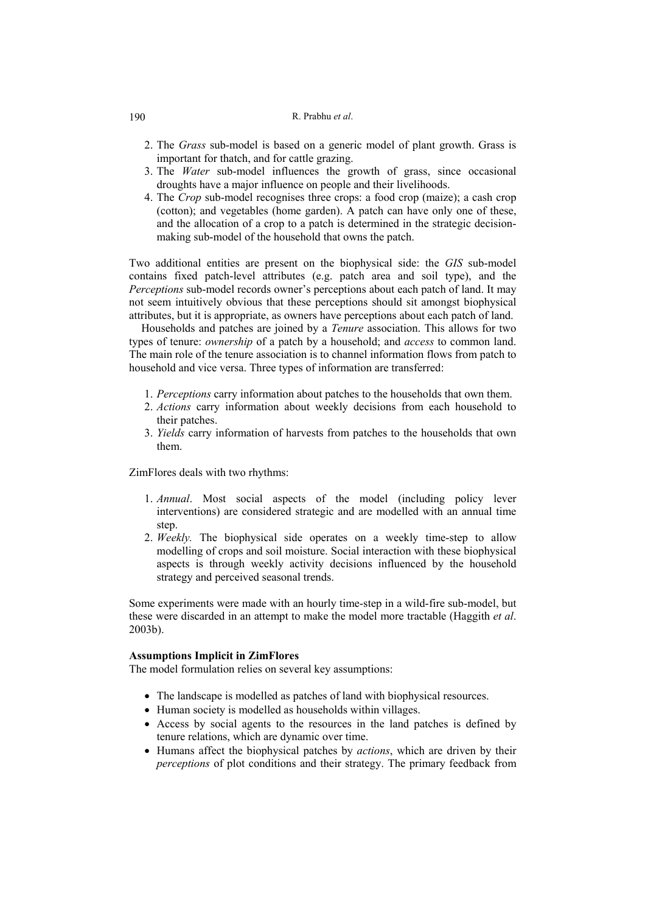- 2. The *Grass* sub-model is based on a generic model of plant growth. Grass is important for thatch, and for cattle grazing.
- 3. The *Water* sub-model influences the growth of grass, since occasional droughts have a major influence on people and their livelihoods.
- 4. The *Crop* sub-model recognises three crops: a food crop (maize); a cash crop (cotton); and vegetables (home garden). A patch can have only one of these, and the allocation of a crop to a patch is determined in the strategic decisionmaking sub-model of the household that owns the patch.

Two additional entities are present on the biophysical side: the *GIS* sub-model contains fixed patch-level attributes (e.g. patch area and soil type), and the *Perceptions* sub-model records owner's perceptions about each patch of land. It may not seem intuitively obvious that these perceptions should sit amongst biophysical attributes, but it is appropriate, as owners have perceptions about each patch of land.

Households and patches are joined by a *Tenure* association. This allows for two types of tenure: *ownership* of a patch by a household; and *access* to common land. The main role of the tenure association is to channel information flows from patch to household and vice versa. Three types of information are transferred:

- 1. *Perceptions* carry information about patches to the households that own them.
- 2. *Actions* carry information about weekly decisions from each household to their patches.
- 3. *Yields* carry information of harvests from patches to the households that own them.

ZimFlores deals with two rhythms:

- 1. *Annual*. Most social aspects of the model (including policy lever interventions) are considered strategic and are modelled with an annual time step.
- 2. *Weekly.* The biophysical side operates on a weekly time-step to allow modelling of crops and soil moisture. Social interaction with these biophysical aspects is through weekly activity decisions influenced by the household strategy and perceived seasonal trends.

Some experiments were made with an hourly time-step in a wild-fire sub-model, but these were discarded in an attempt to make the model more tractable (Haggith *et al*. 2003b).

# **Assumptions Implicit in ZimFlores**

The model formulation relies on several key assumptions:

- The landscape is modelled as patches of land with biophysical resources.
- Human society is modelled as households within villages.
- Access by social agents to the resources in the land patches is defined by tenure relations, which are dynamic over time.
- Humans affect the biophysical patches by *actions*, which are driven by their *perceptions* of plot conditions and their strategy. The primary feedback from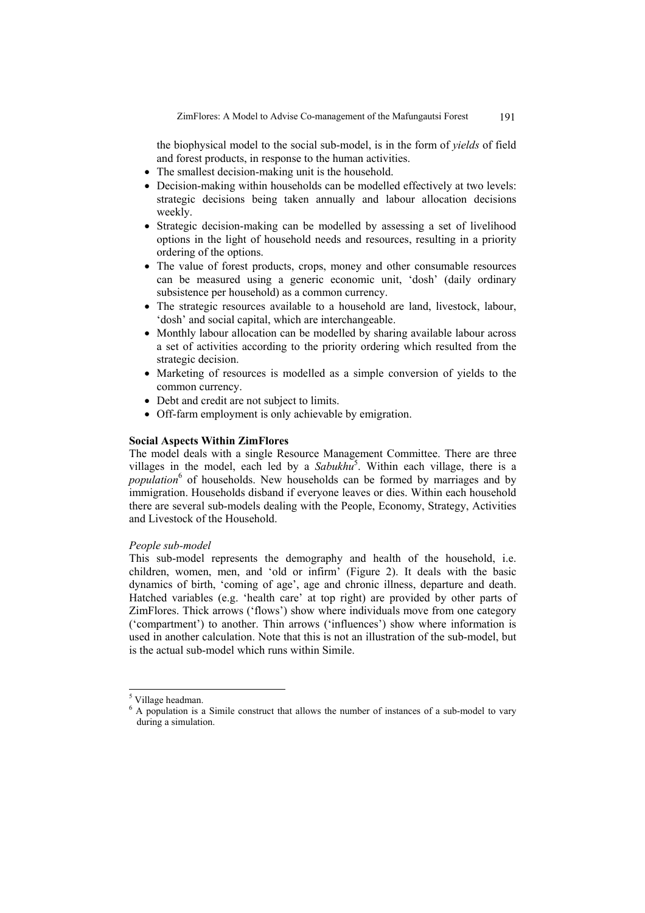the biophysical model to the social sub-model, is in the form of *yields* of field and forest products, in response to the human activities.

- The smallest decision-making unit is the household.
- Decision-making within households can be modelled effectively at two levels: strategic decisions being taken annually and labour allocation decisions weekly.
- Strategic decision-making can be modelled by assessing a set of livelihood options in the light of household needs and resources, resulting in a priority ordering of the options.
- The value of forest products, crops, money and other consumable resources can be measured using a generic economic unit, 'dosh' (daily ordinary subsistence per household) as a common currency.
- The strategic resources available to a household are land, livestock, labour, 'dosh' and social capital, which are interchangeable.
- Monthly labour allocation can be modelled by sharing available labour across a set of activities according to the priority ordering which resulted from the strategic decision.
- Marketing of resources is modelled as a simple conversion of yields to the common currency.
- Debt and credit are not subject to limits.
- Off-farm employment is only achievable by emigration.

## **Social Aspects Within ZimFlores**

The model deals with a single Resource Management Committee. There are three villages in the model, each led by a *Sabukhu*<sup>5</sup>[.](#page-6-0) Within each village, there is a *population*<sup>6</sup> of households. New households can be formed by marriages and by immigration. Households disband if everyone leaves or dies. Within each household there are several sub-models dealing with the People, Economy, Strategy, Activities and Livestock of the Household.

## *People sub-model*

This sub-model represents the demography and health of the household, i.e. children, women, men, and 'old or infirm' (Figure 2). It deals with the basic dynamics of birth, 'coming of age', age and chronic illness, departure and death. Hatched variables (e.g. 'health care' at top right) are provided by other parts of ZimFlores. Thick arrows ('flows') show where individuals move from one category ('compartment') to another. Thin arrows ('influences') show where information is used in another calculation. Note that this is not an illustration of the sub-model, but is the actual sub-model which runs within Simile.

<sup>&</sup>lt;sup>5</sup> Village headman.

<span id="page-6-1"></span><span id="page-6-0"></span><sup>&</sup>lt;sup>6</sup> A population is a Simile construct that allows the number of instances of a sub-model to vary during a simulation.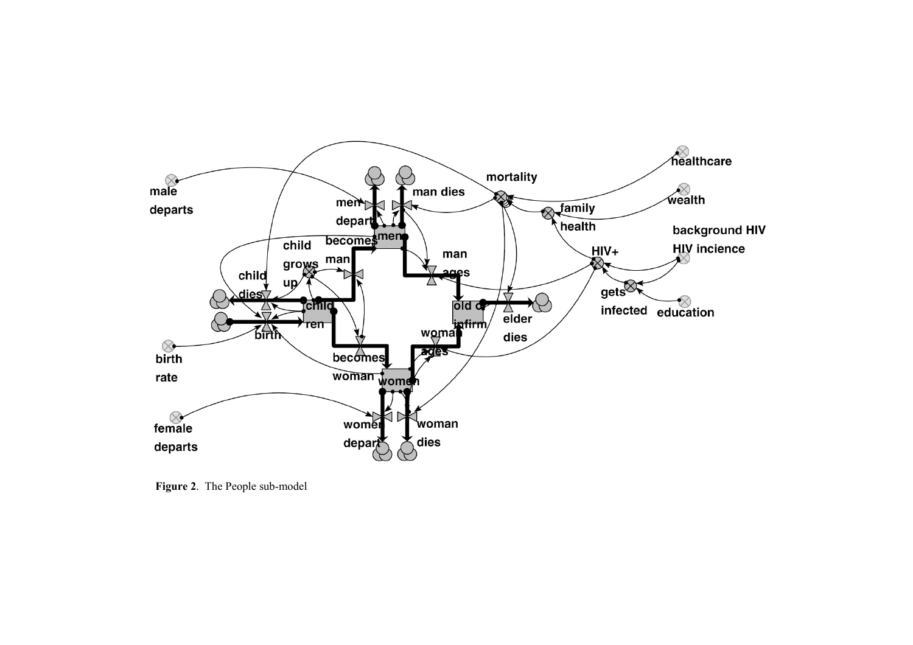

 **Figure 2**. The People sub-model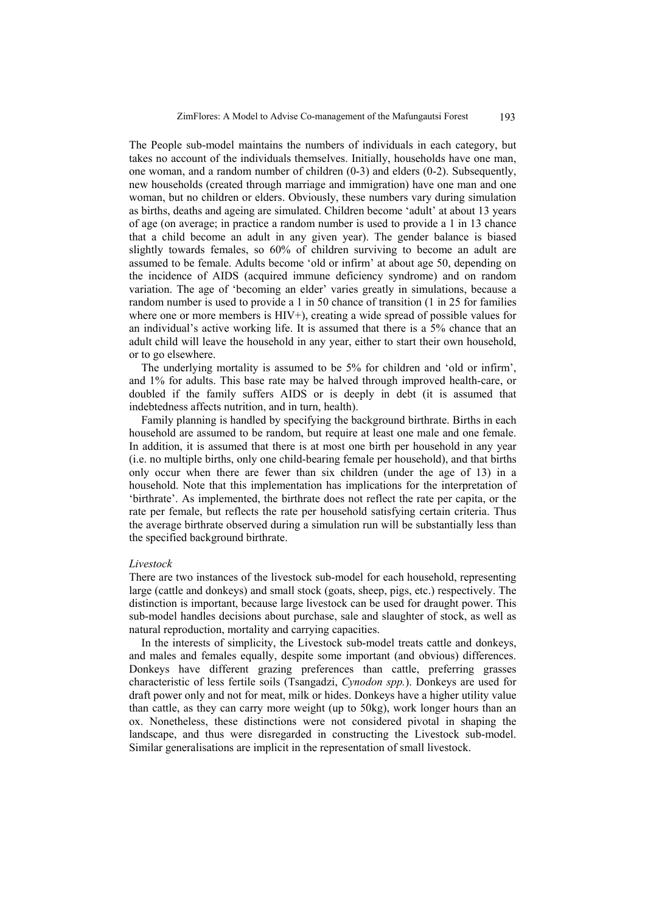The People sub-model maintains the numbers of individuals in each category, but takes no account of the individuals themselves. Initially, households have one man, one woman, and a random number of children (0-3) and elders (0-2). Subsequently, new households (created through marriage and immigration) have one man and one woman, but no children or elders. Obviously, these numbers vary during simulation as births, deaths and ageing are simulated. Children become 'adult' at about 13 years of age (on average; in practice a random number is used to provide a 1 in 13 chance that a child become an adult in any given year). The gender balance is biased slightly towards females, so 60% of children surviving to become an adult are assumed to be female. Adults become 'old or infirm' at about age 50, depending on the incidence of AIDS (acquired immune deficiency syndrome) and on random variation. The age of 'becoming an elder' varies greatly in simulations, because a random number is used to provide a 1 in 50 chance of transition (1 in 25 for families where one or more members is HIV+), creating a wide spread of possible values for an individual's active working life. It is assumed that there is a 5% chance that an adult child will leave the household in any year, either to start their own household, or to go elsewhere.

The underlying mortality is assumed to be 5% for children and 'old or infirm', and 1% for adults. This base rate may be halved through improved health-care, or doubled if the family suffers AIDS or is deeply in debt (it is assumed that indebtedness affects nutrition, and in turn, health).

Family planning is handled by specifying the background birthrate. Births in each household are assumed to be random, but require at least one male and one female. In addition, it is assumed that there is at most one birth per household in any year (i.e. no multiple births, only one child-bearing female per household), and that births only occur when there are fewer than six children (under the age of 13) in a household. Note that this implementation has implications for the interpretation of 'birthrate'. As implemented, the birthrate does not reflect the rate per capita, or the rate per female, but reflects the rate per household satisfying certain criteria. Thus the average birthrate observed during a simulation run will be substantially less than the specified background birthrate.

### *Livestock*

There are two instances of the livestock sub-model for each household, representing large (cattle and donkeys) and small stock (goats, sheep, pigs, etc.) respectively. The distinction is important, because large livestock can be used for draught power. This sub-model handles decisions about purchase, sale and slaughter of stock, as well as natural reproduction, mortality and carrying capacities.

In the interests of simplicity, the Livestock sub-model treats cattle and donkeys, and males and females equally, despite some important (and obvious) differences. Donkeys have different grazing preferences than cattle, preferring grasses characteristic of less fertile soils (Tsangadzi, *Cynodon spp.*). Donkeys are used for draft power only and not for meat, milk or hides. Donkeys have a higher utility value than cattle, as they can carry more weight (up to 50kg), work longer hours than an ox. Nonetheless, these distinctions were not considered pivotal in shaping the landscape, and thus were disregarded in constructing the Livestock sub-model. Similar generalisations are implicit in the representation of small livestock.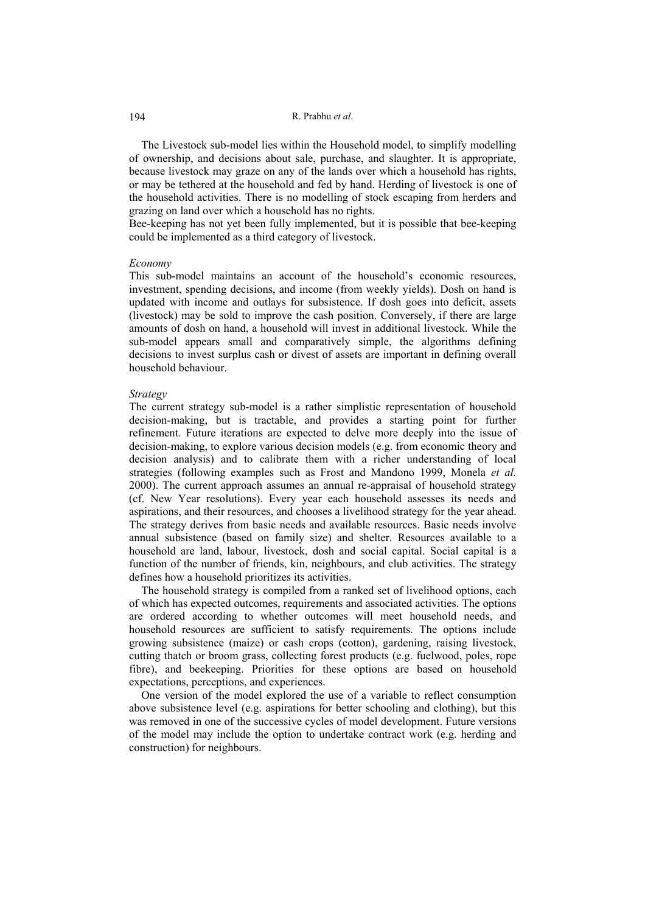The Livestock sub-model lies within the Household model, to simplify modelling of ownership, and decisions about sale, purchase, and slaughter. It is appropriate, because livestock may graze on any of the lands over which a household has rights, or may be tethered at the household and fed by hand. Herding of livestock is one of the household activities. There is no modelling of stock escaping from herders and grazing on land over which a household has no rights.

Bee-keeping has not yet been fully implemented, but it is possible that bee-keeping could be implemented as a third category of livestock.

#### *Economy*

This sub-model maintains an account of the household's economic resources, investment, spending decisions, and income (from weekly yields). Dosh on hand is updated with income and outlays for subsistence. If dosh goes into deficit, assets (livestock) may be sold to improve the cash position. Conversely, if there are large amounts of dosh on hand, a household will invest in additional livestock. While the sub-model appears small and comparatively simple, the algorithms defining decisions to invest surplus cash or divest of assets are important in defining overall household behaviour.

#### *Strategy*

The current strategy sub-model is a rather simplistic representation of household decision-making, but is tractable, and provides a starting point for further refinement. Future iterations are expected to delve more deeply into the issue of decision-making, to explore various decision models (e.g. from economic theory and decision analysis) and to calibrate them with a richer understanding of local strategies (following examples such as Frost and Mandono 1999, Monela *et al.*  2000). The current approach assumes an annual re-appraisal of household strategy (cf. New Year resolutions). Every year each household assesses its needs and aspirations, and their resources, and chooses a livelihood strategy for the year ahead. The strategy derives from basic needs and available resources. Basic needs involve annual subsistence (based on family size) and shelter. Resources available to a household are land, labour, livestock, dosh and social capital. Social capital is a function of the number of friends, kin, neighbours, and club activities. The strategy defines how a household prioritizes its activities.

The household strategy is compiled from a ranked set of livelihood options, each of which has expected outcomes, requirements and associated activities. The options are ordered according to whether outcomes will meet household needs, and household resources are sufficient to satisfy requirements. The options include growing subsistence (maize) or cash crops (cotton), gardening, raising livestock, cutting thatch or broom grass, collecting forest products (e.g. fuelwood, poles, rope fibre), and beekeeping. Priorities for these options are based on household expectations, perceptions, and experiences.

One version of the model explored the use of a variable to reflect consumption above subsistence level (e.g. aspirations for better schooling and clothing), but this was removed in one of the successive cycles of model development. Future versions of the model may include the option to undertake contract work (e.g. herding and construction) for neighbours.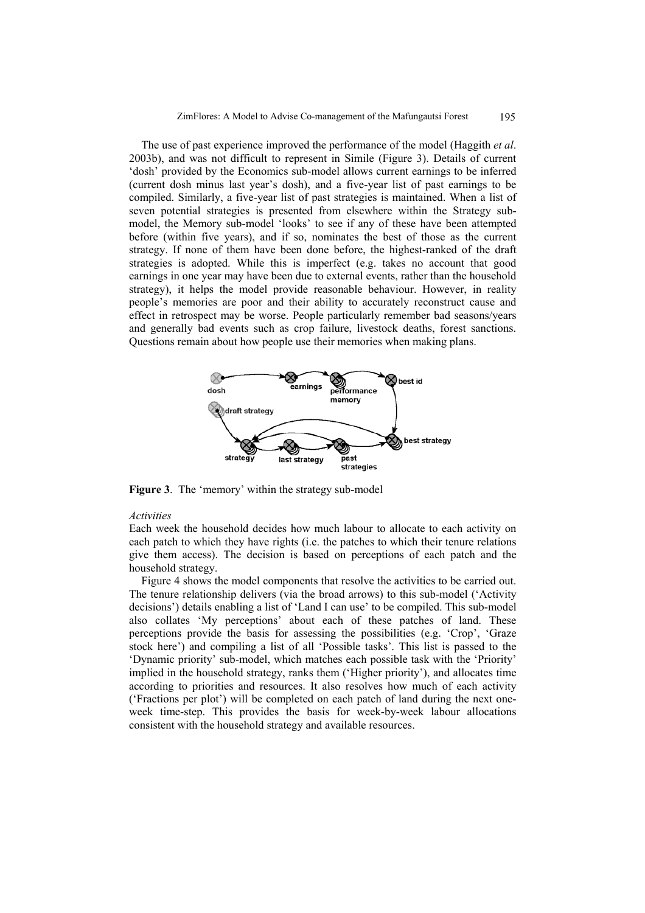The use of past experience improved the performance of the model (Haggith *et al*. 2003b), and was not difficult to represent in Simile (Figure 3). Details of current 'dosh' provided by the Economics sub-model allows current earnings to be inferred (current dosh minus last year's dosh), and a five-year list of past earnings to be compiled. Similarly, a five-year list of past strategies is maintained. When a list of seven potential strategies is presented from elsewhere within the Strategy submodel, the Memory sub-model 'looks' to see if any of these have been attempted before (within five years), and if so, nominates the best of those as the current strategy. If none of them have been done before, the highest-ranked of the draft strategies is adopted. While this is imperfect (e.g. takes no account that good earnings in one year may have been due to external events, rather than the household strategy), it helps the model provide reasonable behaviour. However, in reality people's memories are poor and their ability to accurately reconstruct cause and effect in retrospect may be worse. People particularly remember bad seasons/years and generally bad events such as crop failure, livestock deaths, forest sanctions. Questions remain about how people use their memories when making plans.



**Figure 3**. The 'memory' within the strategy sub-model

### *Activities*

Each week the household decides how much labour to allocate to each activity on each patch to which they have rights (i.e. the patches to which their tenure relations give them access). The decision is based on perceptions of each patch and the household strategy.

Figure 4 shows the model components that resolve the activities to be carried out. The tenure relationship delivers (via the broad arrows) to this sub-model ('Activity decisions') details enabling a list of 'Land I can use' to be compiled. This sub-model also collates 'My perceptions' about each of these patches of land. These perceptions provide the basis for assessing the possibilities (e.g. 'Crop', 'Graze stock here') and compiling a list of all 'Possible tasks'. This list is passed to the 'Dynamic priority' sub-model, which matches each possible task with the 'Priority' implied in the household strategy, ranks them ('Higher priority'), and allocates time according to priorities and resources. It also resolves how much of each activity ('Fractions per plot') will be completed on each patch of land during the next oneweek time-step. This provides the basis for week-by-week labour allocations consistent with the household strategy and available resources.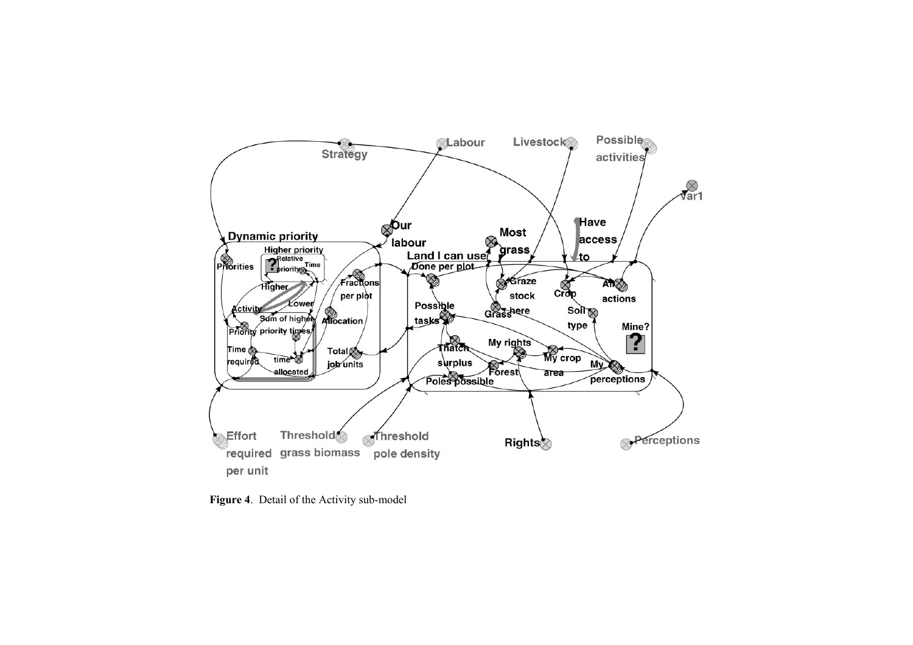

 **Figure 4**. Detail of the Activity sub-model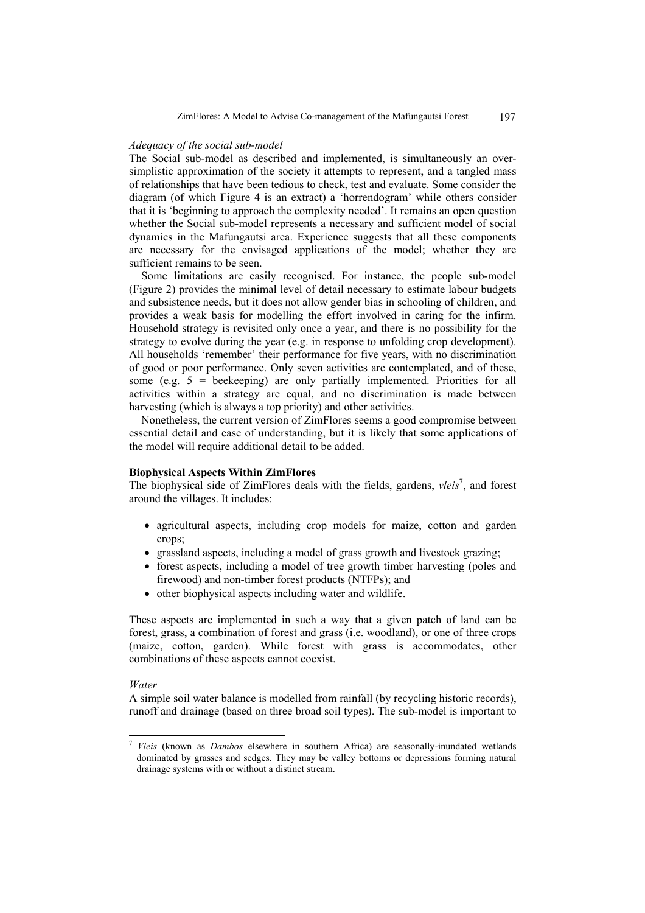#### *Adequacy of the social sub-model*

The Social sub-model as described and implemented, is simultaneously an oversimplistic approximation of the society it attempts to represent, and a tangled mass of relationships that have been tedious to check, test and evaluate. Some consider the diagram (of which Figure 4 is an extract) a 'horrendogram' while others consider that it is 'beginning to approach the complexity needed'. It remains an open question whether the Social sub-model represents a necessary and sufficient model of social dynamics in the Mafungautsi area. Experience suggests that all these components are necessary for the envisaged applications of the model; whether they are sufficient remains to be seen.

Some limitations are easily recognised. For instance, the people sub-model (Figure 2) provides the minimal level of detail necessary to estimate labour budgets and subsistence needs, but it does not allow gender bias in schooling of children, and provides a weak basis for modelling the effort involved in caring for the infirm. Household strategy is revisited only once a year, and there is no possibility for the strategy to evolve during the year (e.g. in response to unfolding crop development). All households 'remember' their performance for five years, with no discrimination of good or poor performance. Only seven activities are contemplated, and of these, some (e.g.  $5 =$  beekeeping) are only partially implemented. Priorities for all activities within a strategy are equal, and no discrimination is made between harvesting (which is always a top priority) and other activities.

Nonetheless, the current version of ZimFlores seems a good compromise between essential detail and ease of understanding, but it is likely that some applications of the model will require additional detail to be added.

## **Biophysical Aspects Within ZimFlores**

The biophysical side of ZimFlores deals with the fields, gardens, *vleis*<sup>7</sup> [,](#page-12-0) and forest around the villages. It includes:

- agricultural aspects, including crop models for maize, cotton and garden crops;
- grassland aspects, including a model of grass growth and livestock grazing;
- forest aspects, including a model of tree growth timber harvesting (poles and firewood) and non-timber forest products (NTFPs); and
- other biophysical aspects including water and wildlife.

These aspects are implemented in such a way that a given patch of land can be forest, grass, a combination of forest and grass (i.e. woodland), or one of three crops (maize, cotton, garden). While forest with grass is accommodates, other combinations of these aspects cannot coexist.

### *Water*

 $\overline{a}$ 

A simple soil water balance is modelled from rainfall (by recycling historic records), runoff and drainage (based on three broad soil types). The sub-model is important to

<span id="page-12-0"></span><sup>7</sup> *Vleis* (known as *Dambos* elsewhere in southern Africa) are seasonally-inundated wetlands dominated by grasses and sedges. They may be valley bottoms or depressions forming natural drainage systems with or without a distinct stream.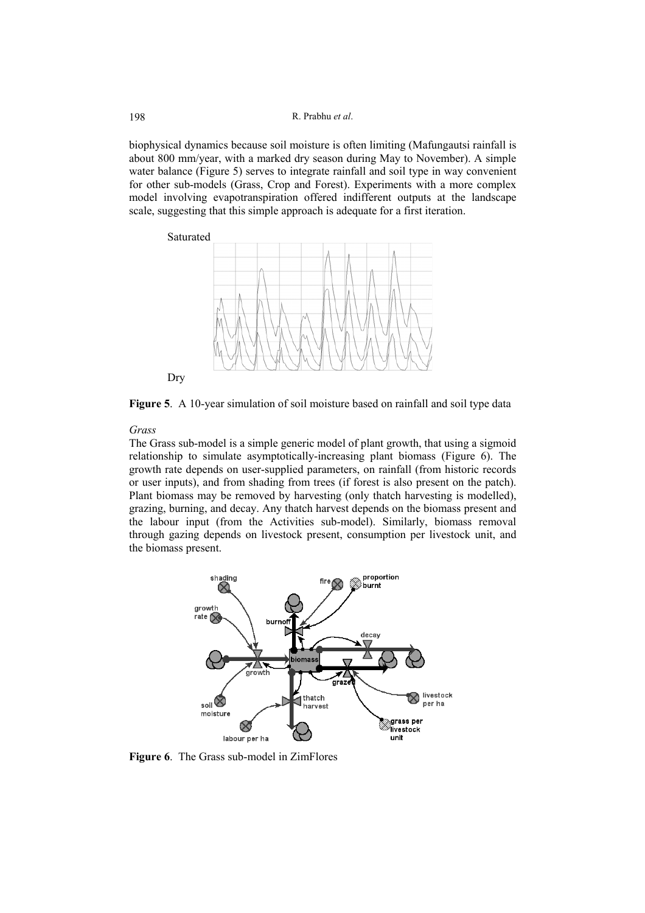biophysical dynamics because soil moisture is often limiting (Mafungautsi rainfall is about 800 mm/year, with a marked dry season during May to November). A simple water balance (Figure 5) serves to integrate rainfall and soil type in way convenient for other sub-models (Grass, Crop and Forest). Experiments with a more complex model involving evapotranspiration offered indifferent outputs at the landscape scale, suggesting that this simple approach is adequate for a first iteration.



**Figure 5**. A 10-year simulation of soil moisture based on rainfall and soil type data

### *Grass*

The Grass sub-model is a simple generic model of plant growth, that using a sigmoid relationship to simulate asymptotically-increasing plant biomass (Figure 6). The growth rate depends on user-supplied parameters, on rainfall (from historic records or user inputs), and from shading from trees (if forest is also present on the patch). Plant biomass may be removed by harvesting (only thatch harvesting is modelled), grazing, burning, and decay. Any thatch harvest depends on the biomass present and the labour input (from the Activities sub-model). Similarly, biomass removal through gazing depends on livestock present, consumption per livestock unit, and the biomass present.



**Figure 6**. The Grass sub-model in ZimFlores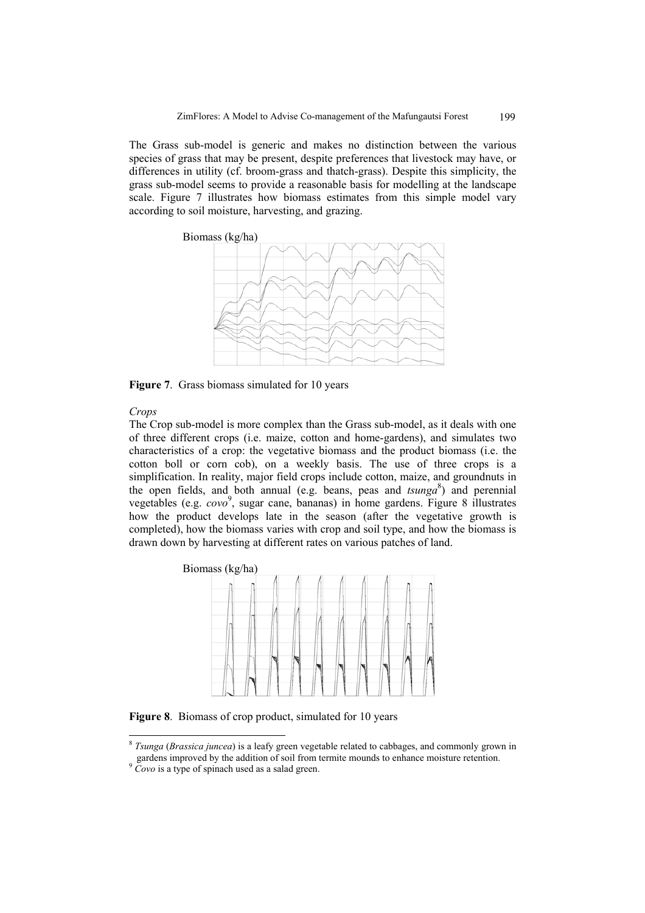The Grass sub-model is generic and makes no distinction between the various species of grass that may be present, despite preferences that livestock may have, or differences in utility (cf. broom-grass and thatch-grass). Despite this simplicity, the grass sub-model seems to provide a reasonable basis for modelling at the landscape scale. Figure 7 illustrates how biomass estimates from this simple model vary according to soil moisture, harvesting, and grazing.



**Figure 7**. Grass biomass simulated for 10 years

### *Crops*

l

The Crop sub-model is more complex than the Grass sub-model, as it deals with one of three different crops (i.e. maize, cotton and home-gardens), and simulates two characteristics of a crop: the vegetative biomass and the product biomass (i.e. the cotton boll or corn cob), on a weekly basis. The use of three crops is a simplification. In reality, major field crops include cotton, maize, and groundnuts in the open fields, and both annual (e.g. beans, peas and  $t\sin\theta^8$ [\)](#page-14-0) and perennial vegetables (e.g. *covo* 9 [,](#page-14-1) sugar cane, bananas) in home gardens. Figure 8 illustrates how the product develops late in the season (after the vegetative growth is completed), how the biomass varies with crop and soil type, and how the biomass is drawn down by harvesting at different rates on various patches of land.



**Figure 8**. Biomass of crop product, simulated for 10 years

<span id="page-14-0"></span><sup>8</sup> *Tsunga* (*Brassica juncea*) is a leafy green vegetable related to cabbages, and commonly grown in gardens improved by the addition of soil from termite mounds to enhance moisture retention.<br><sup>9</sup> *Covo* is a type of spinach used as a salad green.

<span id="page-14-1"></span>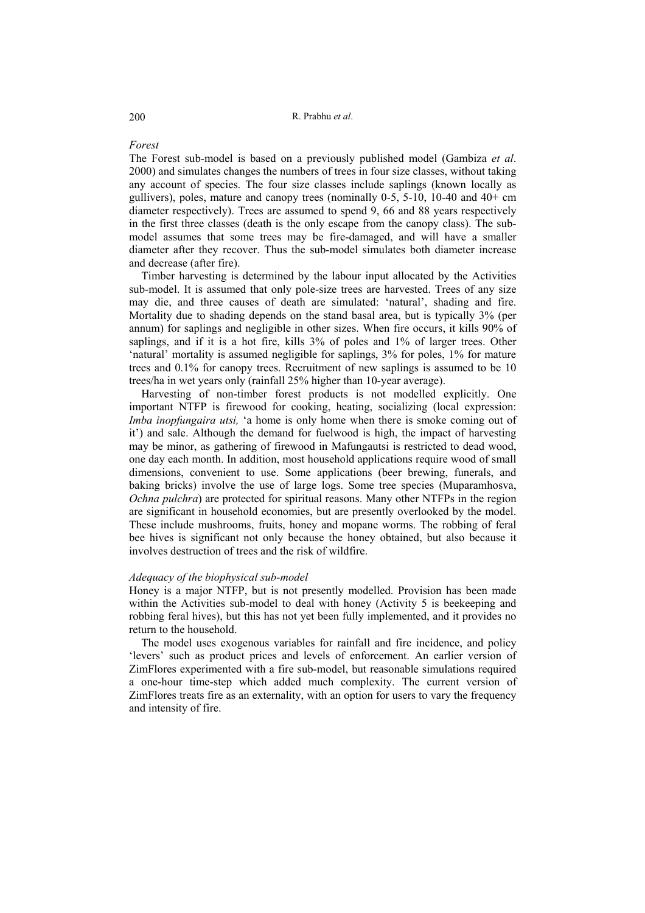#### *Forest*

The Forest sub-model is based on a previously published model (Gambiza *et al*. 2000) and simulates changes the numbers of trees in four size classes, without taking any account of species. The four size classes include saplings (known locally as gullivers), poles, mature and canopy trees (nominally  $0-5$ ,  $5-10$ ,  $10-40$  and  $40+$  cm diameter respectively). Trees are assumed to spend 9, 66 and 88 years respectively in the first three classes (death is the only escape from the canopy class). The submodel assumes that some trees may be fire-damaged, and will have a smaller diameter after they recover. Thus the sub-model simulates both diameter increase and decrease (after fire).

Timber harvesting is determined by the labour input allocated by the Activities sub-model. It is assumed that only pole-size trees are harvested. Trees of any size may die, and three causes of death are simulated: 'natural', shading and fire. Mortality due to shading depends on the stand basal area, but is typically 3% (per annum) for saplings and negligible in other sizes. When fire occurs, it kills 90% of saplings, and if it is a hot fire, kills 3% of poles and 1% of larger trees. Other 'natural' mortality is assumed negligible for saplings, 3% for poles, 1% for mature trees and 0.1% for canopy trees. Recruitment of new saplings is assumed to be 10 trees/ha in wet years only (rainfall 25% higher than 10-year average).

Harvesting of non-timber forest products is not modelled explicitly. One important NTFP is firewood for cooking, heating, socializing (local expression: *Imba inopfungaira utsi,* 'a home is only home when there is smoke coming out of it') and sale. Although the demand for fuelwood is high, the impact of harvesting may be minor, as gathering of firewood in Mafungautsi is restricted to dead wood, one day each month. In addition, most household applications require wood of small dimensions, convenient to use. Some applications (beer brewing, funerals, and baking bricks) involve the use of large logs. Some tree species (Muparamhosva, *Ochna pulchra*) are protected for spiritual reasons. Many other NTFPs in the region are significant in household economies, but are presently overlooked by the model. These include mushrooms, fruits, honey and mopane worms. The robbing of feral bee hives is significant not only because the honey obtained, but also because it involves destruction of trees and the risk of wildfire.

#### *Adequacy of the biophysical sub-model*

Honey is a major NTFP, but is not presently modelled. Provision has been made within the Activities sub-model to deal with honey (Activity 5 is beekeeping and robbing feral hives), but this has not yet been fully implemented, and it provides no return to the household.

The model uses exogenous variables for rainfall and fire incidence, and policy 'levers' such as product prices and levels of enforcement. An earlier version of ZimFlores experimented with a fire sub-model, but reasonable simulations required a one-hour time-step which added much complexity. The current version of ZimFlores treats fire as an externality, with an option for users to vary the frequency and intensity of fire.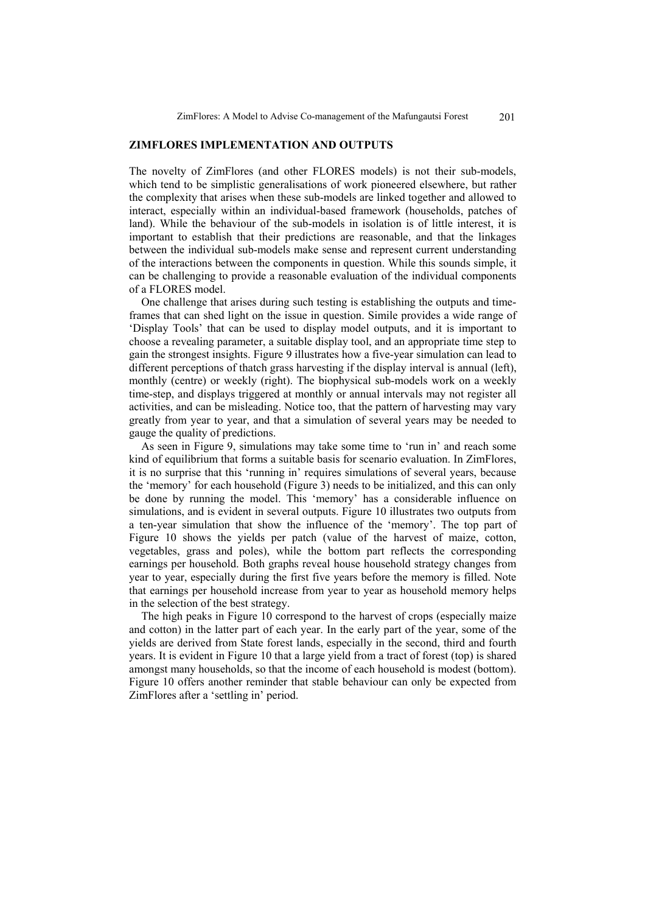## **ZIMFLORES IMPLEMENTATION AND OUTPUTS**

The novelty of ZimFlores (and other FLORES models) is not their sub-models, which tend to be simplistic generalisations of work pioneered elsewhere, but rather the complexity that arises when these sub-models are linked together and allowed to interact, especially within an individual-based framework (households, patches of land). While the behaviour of the sub-models in isolation is of little interest, it is important to establish that their predictions are reasonable, and that the linkages between the individual sub-models make sense and represent current understanding of the interactions between the components in question. While this sounds simple, it can be challenging to provide a reasonable evaluation of the individual components of a FLORES model.

One challenge that arises during such testing is establishing the outputs and timeframes that can shed light on the issue in question. Simile provides a wide range of 'Display Tools' that can be used to display model outputs, and it is important to choose a revealing parameter, a suitable display tool, and an appropriate time step to gain the strongest insights. Figure 9 illustrates how a five-year simulation can lead to different perceptions of thatch grass harvesting if the display interval is annual (left), monthly (centre) or weekly (right). The biophysical sub-models work on a weekly time-step, and displays triggered at monthly or annual intervals may not register all activities, and can be misleading. Notice too, that the pattern of harvesting may vary greatly from year to year, and that a simulation of several years may be needed to gauge the quality of predictions.

As seen in Figure 9, simulations may take some time to 'run in' and reach some kind of equilibrium that forms a suitable basis for scenario evaluation. In ZimFlores, it is no surprise that this 'running in' requires simulations of several years, because the 'memory' for each household (Figure 3) needs to be initialized, and this can only be done by running the model. This 'memory' has a considerable influence on simulations, and is evident in several outputs. Figure 10 illustrates two outputs from a ten-year simulation that show the influence of the 'memory'. The top part of Figure 10 shows the yields per patch (value of the harvest of maize, cotton, vegetables, grass and poles), while the bottom part reflects the corresponding earnings per household. Both graphs reveal house household strategy changes from year to year, especially during the first five years before the memory is filled. Note that earnings per household increase from year to year as household memory helps in the selection of the best strategy.

The high peaks in Figure 10 correspond to the harvest of crops (especially maize and cotton) in the latter part of each year. In the early part of the year, some of the yields are derived from State forest lands, especially in the second, third and fourth years. It is evident in Figure 10 that a large yield from a tract of forest (top) is shared amongst many households, so that the income of each household is modest (bottom). Figure 10 offers another reminder that stable behaviour can only be expected from ZimFlores after a 'settling in' period.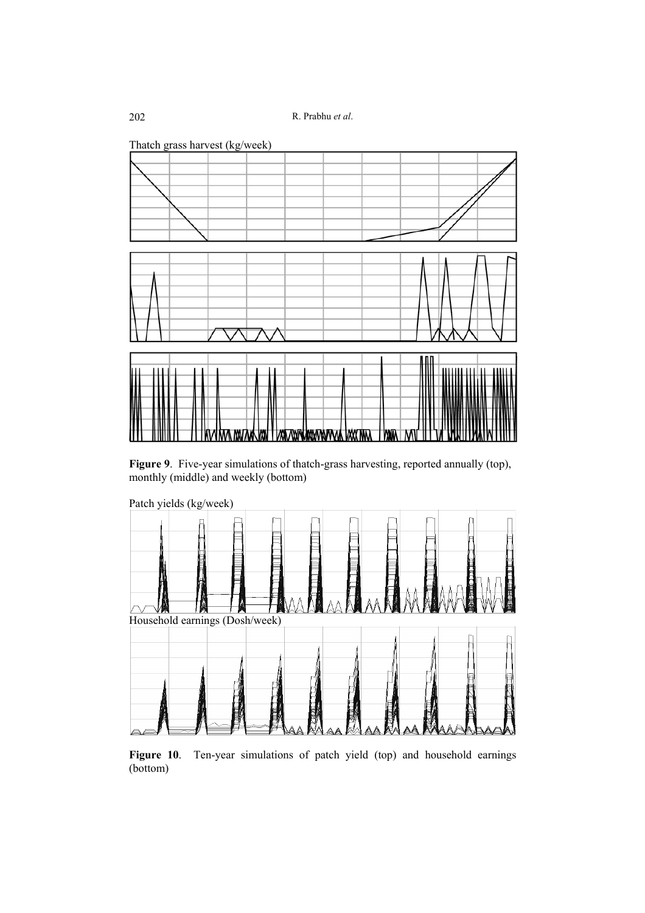```
202 R. Prabhu et al.
```


**Figure 9**. Five-year simulations of thatch-grass harvesting, reported annually (top), monthly (middle) and weekly (bottom)



**Figure 10**. Ten-year simulations of patch yield (top) and household earnings (bottom)

Thatch grass harvest (kg/week)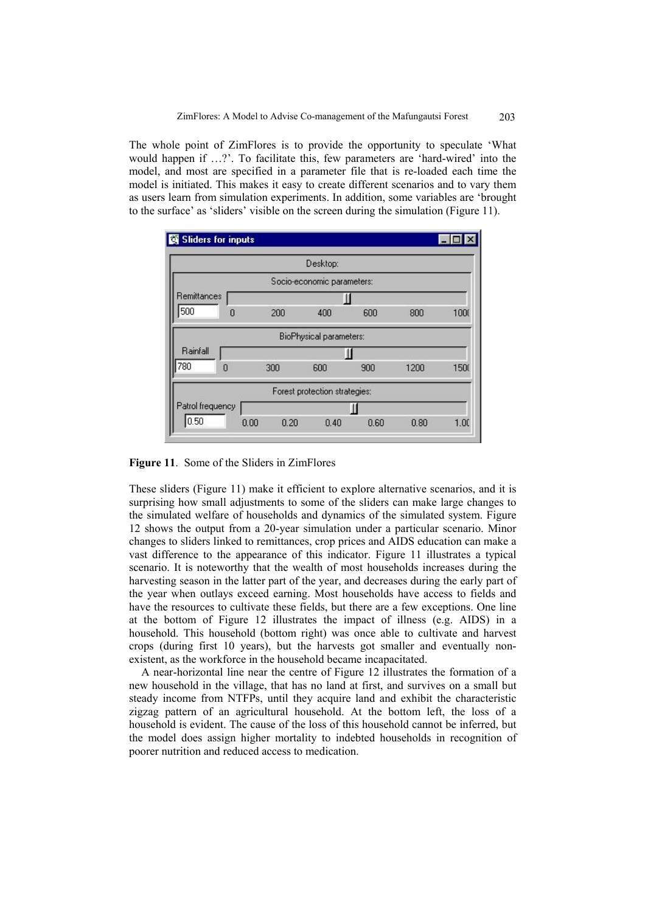The whole point of ZimFlores is to provide the opportunity to speculate 'What would happen if ...?'. To facilitate this, few parameters are 'hard-wired' into the model, and most are specified in a parameter file that is re-loaded each time the model is initiated. This makes it easy to create different scenarios and to vary them as users learn from simulation experiments. In addition, some variables are 'brought to the surface' as 'sliders' visible on the screen during the simulation (Figure 11).



**Figure 11**. Some of the Sliders in ZimFlores

These sliders (Figure 11) make it efficient to explore alternative scenarios, and it is surprising how small adjustments to some of the sliders can make large changes to the simulated welfare of households and dynamics of the simulated system. Figure 12 shows the output from a 20-year simulation under a particular scenario. Minor changes to sliders linked to remittances, crop prices and AIDS education can make a vast difference to the appearance of this indicator. Figure 11 illustrates a typical scenario. It is noteworthy that the wealth of most households increases during the harvesting season in the latter part of the year, and decreases during the early part of the year when outlays exceed earning. Most households have access to fields and have the resources to cultivate these fields, but there are a few exceptions. One line at the bottom of Figure 12 illustrates the impact of illness (e.g. AIDS) in a household. This household (bottom right) was once able to cultivate and harvest crops (during first 10 years), but the harvests got smaller and eventually nonexistent, as the workforce in the household became incapacitated.

A near-horizontal line near the centre of Figure 12 illustrates the formation of a new household in the village, that has no land at first, and survives on a small but steady income from NTFPs, until they acquire land and exhibit the characteristic zigzag pattern of an agricultural household. At the bottom left, the loss of a household is evident. The cause of the loss of this household cannot be inferred, but the model does assign higher mortality to indebted households in recognition of poorer nutrition and reduced access to medication.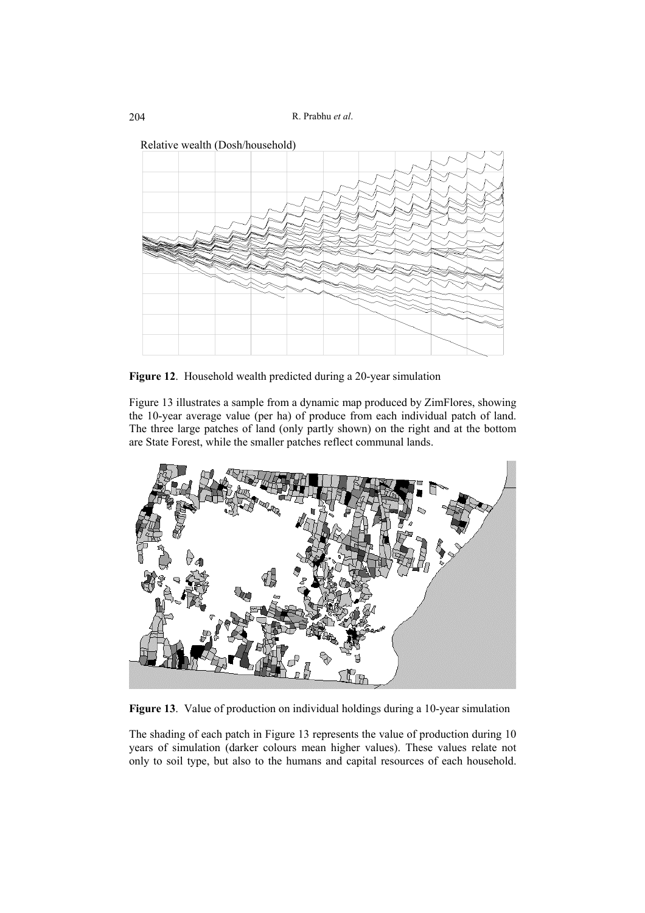

**Figure 12**. Household wealth predicted during a 20-year simulation

Figure 13 illustrates a sample from a dynamic map produced by ZimFlores, showing the 10-year average value (per ha) of produce from each individual patch of land. The three large patches of land (only partly shown) on the right and at the bottom are State Forest, while the smaller patches reflect communal lands.



**Figure 13**. Value of production on individual holdings during a 10-year simulation

The shading of each patch in Figure 13 represents the value of production during 10 years of simulation (darker colours mean higher values). These values relate not only to soil type, but also to the humans and capital resources of each household.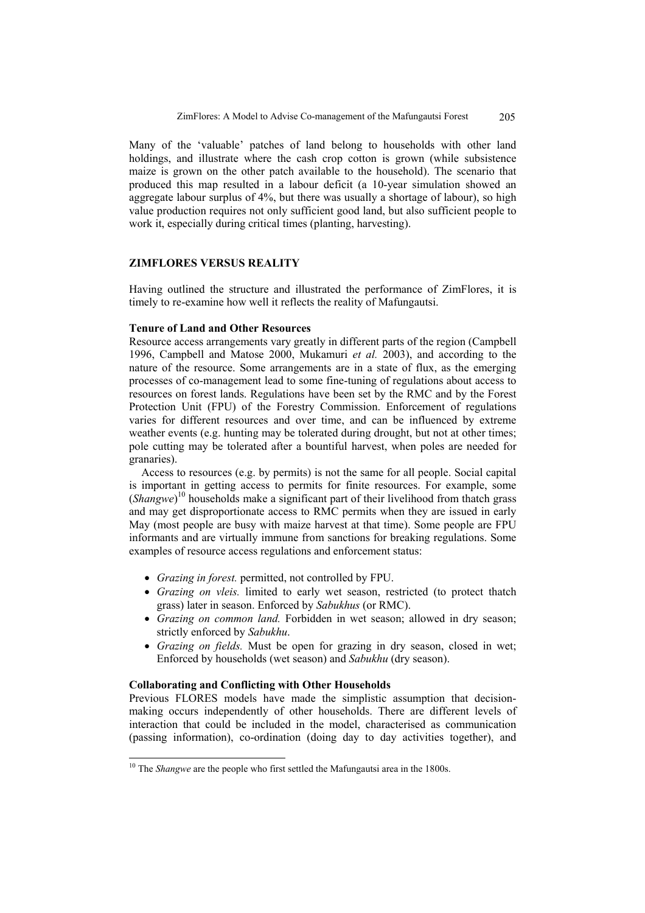Many of the 'valuable' patches of land belong to households with other land holdings, and illustrate where the cash crop cotton is grown (while subsistence maize is grown on the other patch available to the household). The scenario that produced this map resulted in a labour deficit (a 10-year simulation showed an aggregate labour surplus of 4%, but there was usually a shortage of labour), so high value production requires not only sufficient good land, but also sufficient people to work it, especially during critical times (planting, harvesting).

## **ZIMFLORES VERSUS REALITY**

Having outlined the structure and illustrated the performance of ZimFlores, it is timely to re-examine how well it reflects the reality of Mafungautsi.

### **Tenure of Land and Other Resources**

Resource access arrangements vary greatly in different parts of the region (Campbell 1996, Campbell and Matose 2000, Mukamuri *et al.* 2003), and according to the nature of the resource. Some arrangements are in a state of flux, as the emerging processes of co-management lead to some fine-tuning of regulations about access to resources on forest lands. Regulations have been set by the RMC and by the Forest Protection Unit (FPU) of the Forestry Commission. Enforcement of regulations varies for different resources and over time, and can be influenced by extreme weather events (e.g. hunting may be tolerated during drought, but not at other times; pole cutting may be tolerated after a bountiful harvest, when poles are needed for granaries).

Access to resources (e.g. by permits) is not the same for all people. Social capital is important in getting access to permits for finite resources. For example, some (*Shangwe*) [10 h](#page-20-0)ouseholds make a significant part of their livelihood from thatch grass and may get disproportionate access to RMC permits when they are issued in early May (most people are busy with maize harvest at that time). Some people are FPU informants and are virtually immune from sanctions for breaking regulations. Some examples of resource access regulations and enforcement status:

- *Grazing in forest.* permitted, not controlled by FPU.
- *Grazing on vleis.* limited to early wet season, restricted (to protect thatch grass) later in season. Enforced by *Sabukhus* (or RMC).
- *Grazing on common land.* Forbidden in wet season; allowed in dry season; strictly enforced by *Sabukhu*.
- *Grazing on fields.* Must be open for grazing in dry season, closed in wet; Enforced by households (wet season) and *Sabukhu* (dry season).

## **Collaborating and Conflicting with Other Households**

 $\overline{a}$ 

Previous FLORES models have made the simplistic assumption that decisionmaking occurs independently of other households. There are different levels of interaction that could be included in the model, characterised as communication (passing information), co-ordination (doing day to day activities together), and

<span id="page-20-0"></span><sup>&</sup>lt;sup>10</sup> The *Shangwe* are the people who first settled the Mafungautsi area in the 1800s.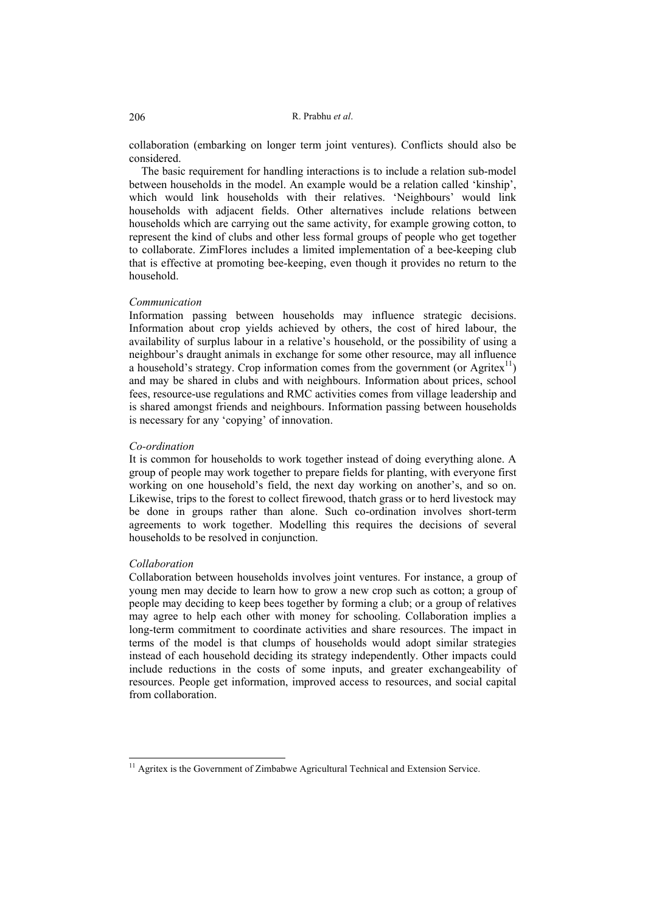collaboration (embarking on longer term joint ventures). Conflicts should also be considered.

The basic requirement for handling interactions is to include a relation sub-model between households in the model. An example would be a relation called 'kinship', which would link households with their relatives. 'Neighbours' would link households with adjacent fields. Other alternatives include relations between households which are carrying out the same activity, for example growing cotton, to represent the kind of clubs and other less formal groups of people who get together to collaborate. ZimFlores includes a limited implementation of a bee-keeping club that is effective at promoting bee-keeping, even though it provides no return to the household.

### *Communication*

Information passing between households may influence strategic decisions. Information about crop yields achieved by others, the cost of hired labour, the availability of surplus labour in a relative's household, or the possibility of using a neighbour's draught animals in exchange for some other resource, may all influence a household's strategy. Crop information comes from the government (or Agritex $^{11}$ ) and may be shared in clubs and with neighbours. Information about prices, school fees, resource-use regulations and RMC activities comes from village leadership and is shared amongst friends and neighbours. Information passing between households is necessary for any 'copying' of innovation.

#### *Co-ordination*

It is common for households to work together instead of doing everything alone. A group of people may work together to prepare fields for planting, with everyone first working on one household's field, the next day working on another's, and so on. Likewise, trips to the forest to collect firewood, thatch grass or to herd livestock may be done in groups rather than alone. Such co-ordination involves short-term agreements to work together. Modelling this requires the decisions of several households to be resolved in conjunction.

## *Collaboration*

 $\overline{a}$ 

Collaboration between households involves joint ventures. For instance, a group of young men may decide to learn how to grow a new crop such as cotton; a group of people may deciding to keep bees together by forming a club; or a group of relatives may agree to help each other with money for schooling. Collaboration implies a long-term commitment to coordinate activities and share resources. The impact in terms of the model is that clumps of households would adopt similar strategies instead of each household deciding its strategy independently. Other impacts could include reductions in the costs of some inputs, and greater exchangeability of resources. People get information, improved access to resources, and social capital from collaboration.

<span id="page-21-0"></span> $11$  Agritex is the Government of Zimbabwe Agricultural Technical and Extension Service.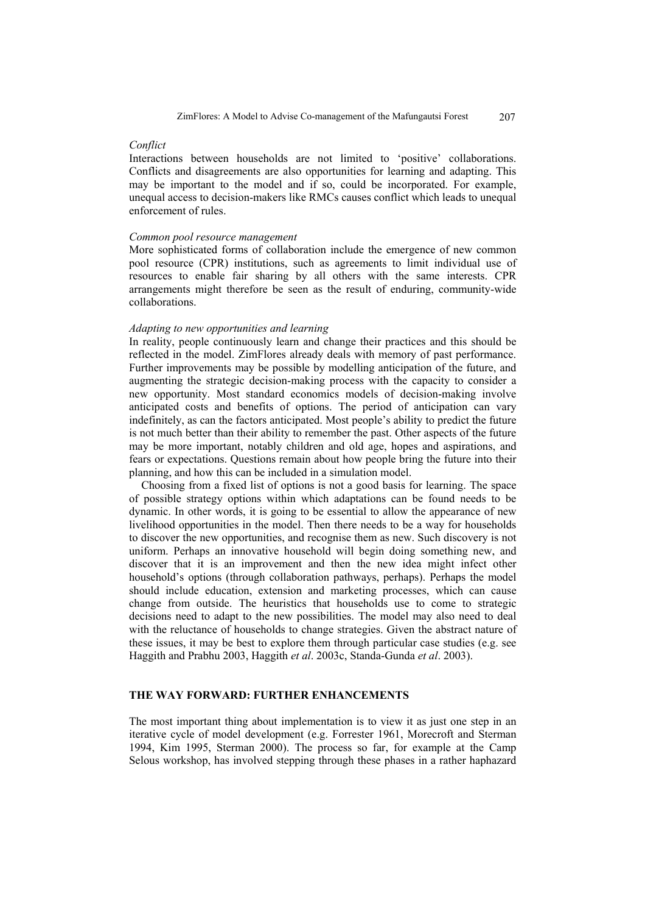#### *Conflict*

Interactions between households are not limited to 'positive' collaborations. Conflicts and disagreements are also opportunities for learning and adapting. This may be important to the model and if so, could be incorporated. For example, unequal access to decision-makers like RMCs causes conflict which leads to unequal enforcement of rules.

### *Common pool resource management*

More sophisticated forms of collaboration include the emergence of new common pool resource (CPR) institutions, such as agreements to limit individual use of resources to enable fair sharing by all others with the same interests. CPR arrangements might therefore be seen as the result of enduring, community-wide collaborations.

## *Adapting to new opportunities and learning*

In reality, people continuously learn and change their practices and this should be reflected in the model. ZimFlores already deals with memory of past performance. Further improvements may be possible by modelling anticipation of the future, and augmenting the strategic decision-making process with the capacity to consider a new opportunity. Most standard economics models of decision-making involve anticipated costs and benefits of options. The period of anticipation can vary indefinitely, as can the factors anticipated. Most people's ability to predict the future is not much better than their ability to remember the past. Other aspects of the future may be more important, notably children and old age, hopes and aspirations, and fears or expectations. Questions remain about how people bring the future into their planning, and how this can be included in a simulation model.

Choosing from a fixed list of options is not a good basis for learning. The space of possible strategy options within which adaptations can be found needs to be dynamic. In other words, it is going to be essential to allow the appearance of new livelihood opportunities in the model. Then there needs to be a way for households to discover the new opportunities, and recognise them as new. Such discovery is not uniform. Perhaps an innovative household will begin doing something new, and discover that it is an improvement and then the new idea might infect other household's options (through collaboration pathways, perhaps). Perhaps the model should include education, extension and marketing processes, which can cause change from outside. The heuristics that households use to come to strategic decisions need to adapt to the new possibilities. The model may also need to deal with the reluctance of households to change strategies. Given the abstract nature of these issues, it may be best to explore them through particular case studies (e.g. see Haggith and Prabhu 2003, Haggith *et al*. 2003c, Standa-Gunda *et al*. 2003).

## **THE WAY FORWARD: FURTHER ENHANCEMENTS**

The most important thing about implementation is to view it as just one step in an iterative cycle of model development (e.g. Forrester 1961, Morecroft and Sterman 1994, Kim 1995, Sterman 2000). The process so far, for example at the Camp Selous workshop, has involved stepping through these phases in a rather haphazard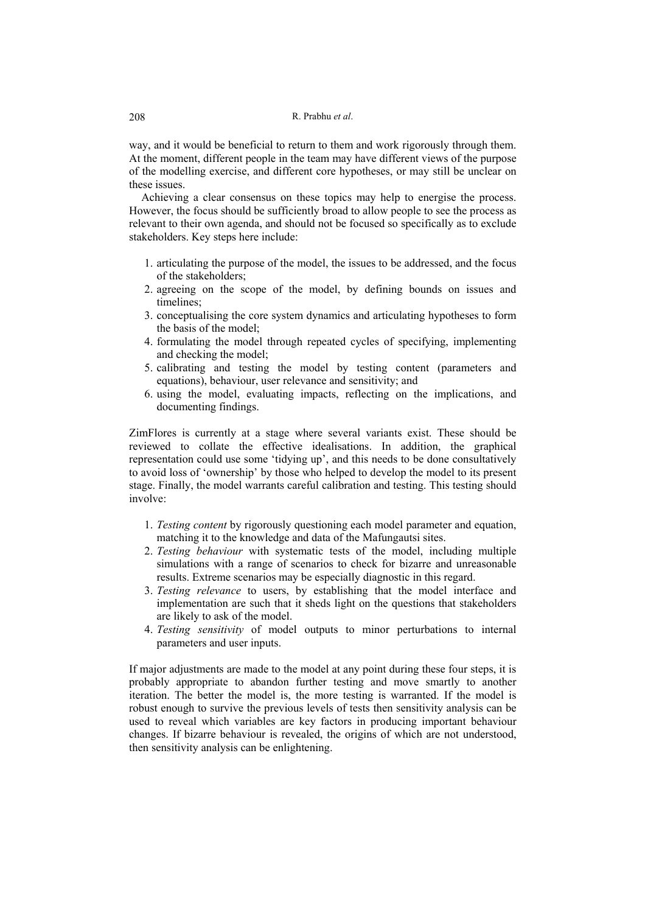way, and it would be beneficial to return to them and work rigorously through them. At the moment, different people in the team may have different views of the purpose of the modelling exercise, and different core hypotheses, or may still be unclear on these issues.

Achieving a clear consensus on these topics may help to energise the process. However, the focus should be sufficiently broad to allow people to see the process as relevant to their own agenda, and should not be focused so specifically as to exclude stakeholders. Key steps here include:

- 1. articulating the purpose of the model, the issues to be addressed, and the focus of the stakeholders;
- 2. agreeing on the scope of the model, by defining bounds on issues and timelines;
- 3. conceptualising the core system dynamics and articulating hypotheses to form the basis of the model;
- 4. formulating the model through repeated cycles of specifying, implementing and checking the model;
- 5. calibrating and testing the model by testing content (parameters and equations), behaviour, user relevance and sensitivity; and
- 6. using the model, evaluating impacts, reflecting on the implications, and documenting findings.

ZimFlores is currently at a stage where several variants exist. These should be reviewed to collate the effective idealisations. In addition, the graphical representation could use some 'tidying up', and this needs to be done consultatively to avoid loss of 'ownership' by those who helped to develop the model to its present stage. Finally, the model warrants careful calibration and testing. This testing should involve:

- 1. *Testing content* by rigorously questioning each model parameter and equation, matching it to the knowledge and data of the Mafungautsi sites.
- 2. *Testing behaviour* with systematic tests of the model, including multiple simulations with a range of scenarios to check for bizarre and unreasonable results. Extreme scenarios may be especially diagnostic in this regard.
- 3. *Testing relevance* to users, by establishing that the model interface and implementation are such that it sheds light on the questions that stakeholders are likely to ask of the model.
- 4. *Testing sensitivity* of model outputs to minor perturbations to internal parameters and user inputs.

If major adjustments are made to the model at any point during these four steps, it is probably appropriate to abandon further testing and move smartly to another iteration. The better the model is, the more testing is warranted. If the model is robust enough to survive the previous levels of tests then sensitivity analysis can be used to reveal which variables are key factors in producing important behaviour changes. If bizarre behaviour is revealed, the origins of which are not understood, then sensitivity analysis can be enlightening.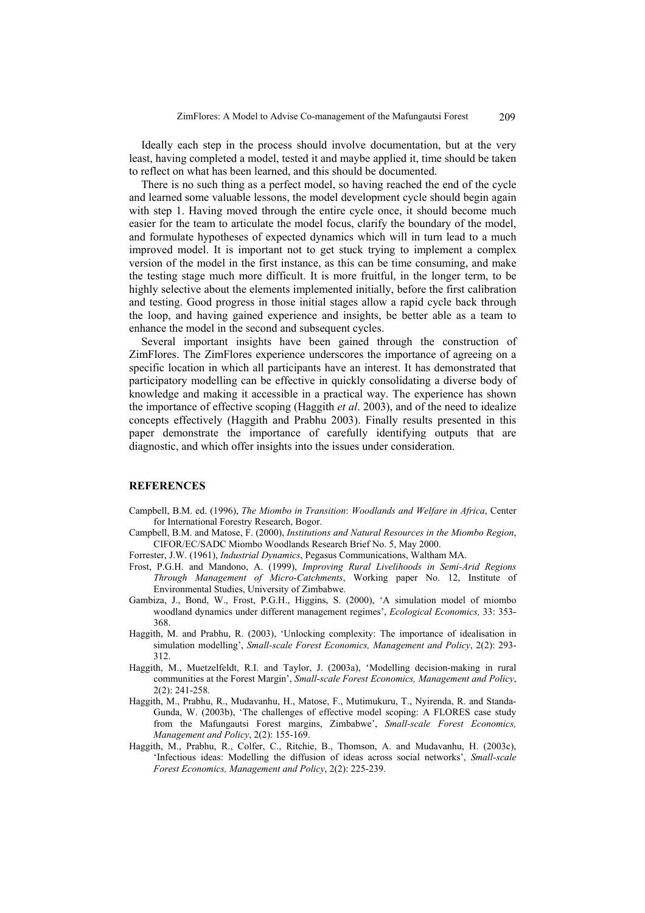Ideally each step in the process should involve documentation, but at the very least, having completed a model, tested it and maybe applied it, time should be taken to reflect on what has been learned, and this should be documented.

There is no such thing as a perfect model, so having reached the end of the cycle and learned some valuable lessons, the model development cycle should begin again with step 1. Having moved through the entire cycle once, it should become much easier for the team to articulate the model focus, clarify the boundary of the model, and formulate hypotheses of expected dynamics which will in turn lead to a much improved model. It is important not to get stuck trying to implement a complex version of the model in the first instance, as this can be time consuming, and make the testing stage much more difficult. It is more fruitful, in the longer term, to be highly selective about the elements implemented initially, before the first calibration and testing. Good progress in those initial stages allow a rapid cycle back through the loop, and having gained experience and insights, be better able as a team to enhance the model in the second and subsequent cycles.

Several important insights have been gained through the construction of ZimFlores. The ZimFlores experience underscores the importance of agreeing on a specific location in which all participants have an interest. It has demonstrated that participatory modelling can be effective in quickly consolidating a diverse body of knowledge and making it accessible in a practical way. The experience has shown the importance of effective scoping (Haggith *et al*. 2003), and of the need to idealize concepts effectively (Haggith and Prabhu 2003). Finally results presented in this paper demonstrate the importance of carefully identifying outputs that are diagnostic, and which offer insights into the issues under consideration.

### **REFERENCES**

- Campbell, B.M. ed. (1996), *The Miombo in Transition*: *Woodlands and Welfare in Africa*, Center for International Forestry Research, Bogor.
- Campbell, B.M. and Matose, F. (2000), *Institutions and Natural Resources in the Miombo Region*, CIFOR/EC/SADC Miombo Woodlands Research Brief No. 5, May 2000.

Forrester, J.W. (1961), *Industrial Dynamics*, Pegasus Communications, Waltham MA.

- Frost, P.G.H. and Mandono, A. (1999), *Improving Rural Livelihoods in Semi-Arid Regions Through Management of Micro-Catchments*, Working paper No. 12, Institute of Environmental Studies, University of Zimbabwe.
- Gambiza, J., Bond, W., Frost, P.G.H., Higgins, S. (2000), 'A simulation model of miombo woodland dynamics under different management regimes', *Ecological Economics,* 33: 353- 368.
- Haggith, M. and Prabhu, R. (2003), 'Unlocking complexity: The importance of idealisation in simulation modelling', *Small-scale Forest Economics, Management and Policy*, 2(2): 293- 312.
- Haggith, M., Muetzelfeldt, R.I. and Taylor, J. (2003a), 'Modelling decision-making in rural communities at the Forest Margin', *Small-scale Forest Economics, Management and Policy*, 2(2): 241-258.
- Haggith, M., Prabhu, R., Mudavanhu, H., Matose, F., Mutimukuru, T., Nyirenda, R. and Standa-Gunda, W. (2003b), 'The challenges of effective model scoping: A FLORES case study from the Mafungautsi Forest margins, Zimbabwe', *Small-scale Forest Economics, Management and Policy*, 2(2): 155-169.
- Haggith, M., Prabhu, R., Colfer, C., Ritchie, B., Thomson, A. and Mudavanhu, H. (2003c), 'Infectious ideas: Modelling the diffusion of ideas across social networks', *Small-scale Forest Economics, Management and Policy*, 2(2): 225-239.